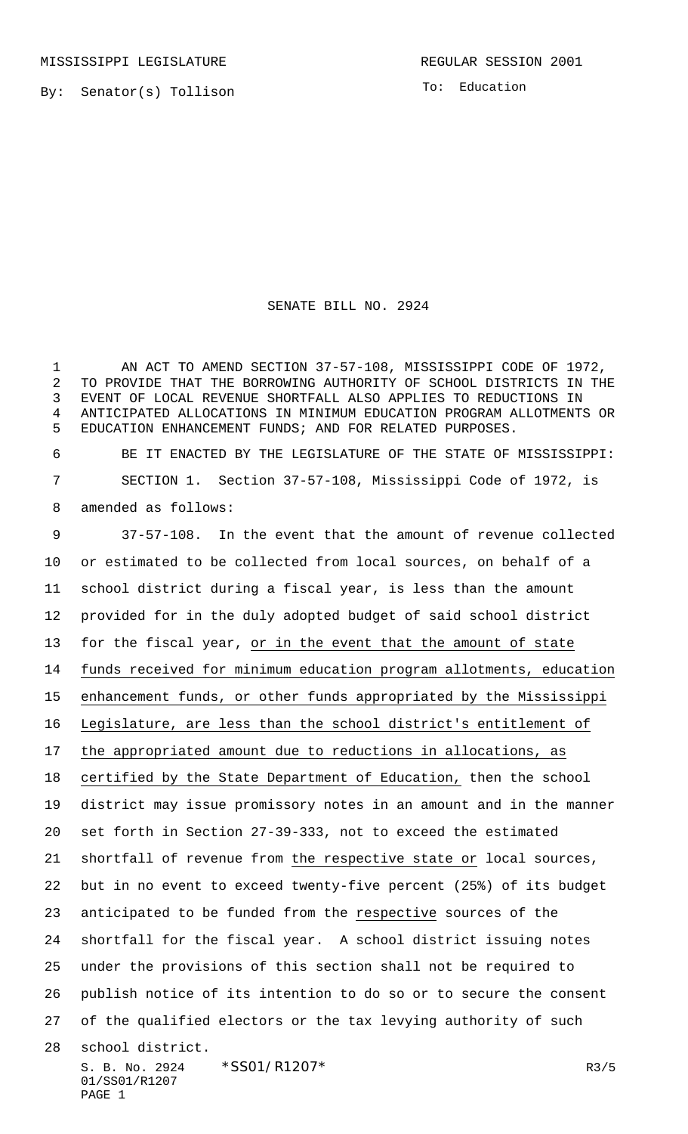MISSISSIPPI LEGISLATURE **REGULAR SESSION 2001** 

By: Senator(s) Tollison

To: Education

## SENATE BILL NO. 2924

1 AN ACT TO AMEND SECTION 37-57-108, MISSISSIPPI CODE OF 1972, TO PROVIDE THAT THE BORROWING AUTHORITY OF SCHOOL DISTRICTS IN THE EVENT OF LOCAL REVENUE SHORTFALL ALSO APPLIES TO REDUCTIONS IN ANTICIPATED ALLOCATIONS IN MINIMUM EDUCATION PROGRAM ALLOTMENTS OR EDUCATION ENHANCEMENT FUNDS; AND FOR RELATED PURPOSES.

 BE IT ENACTED BY THE LEGISLATURE OF THE STATE OF MISSISSIPPI: SECTION 1. Section 37-57-108, Mississippi Code of 1972, is amended as follows:

S. B. No. 2924 \* SS01/R1207 \* The mass of the matrix of the mass of the matrix of the matrix of the matrix of the matrix  $R3/5$ 01/SS01/R1207 PAGE 1 37-57-108. In the event that the amount of revenue collected or estimated to be collected from local sources, on behalf of a school district during a fiscal year, is less than the amount provided for in the duly adopted budget of said school district for the fiscal year, or in the event that the amount of state funds received for minimum education program allotments, education enhancement funds, or other funds appropriated by the Mississippi Legislature, are less than the school district's entitlement of the appropriated amount due to reductions in allocations, as certified by the State Department of Education, then the school district may issue promissory notes in an amount and in the manner set forth in Section 27-39-333, not to exceed the estimated 21 shortfall of revenue from the respective state or local sources, but in no event to exceed twenty-five percent (25%) of its budget anticipated to be funded from the respective sources of the shortfall for the fiscal year. A school district issuing notes under the provisions of this section shall not be required to publish notice of its intention to do so or to secure the consent of the qualified electors or the tax levying authority of such school district.